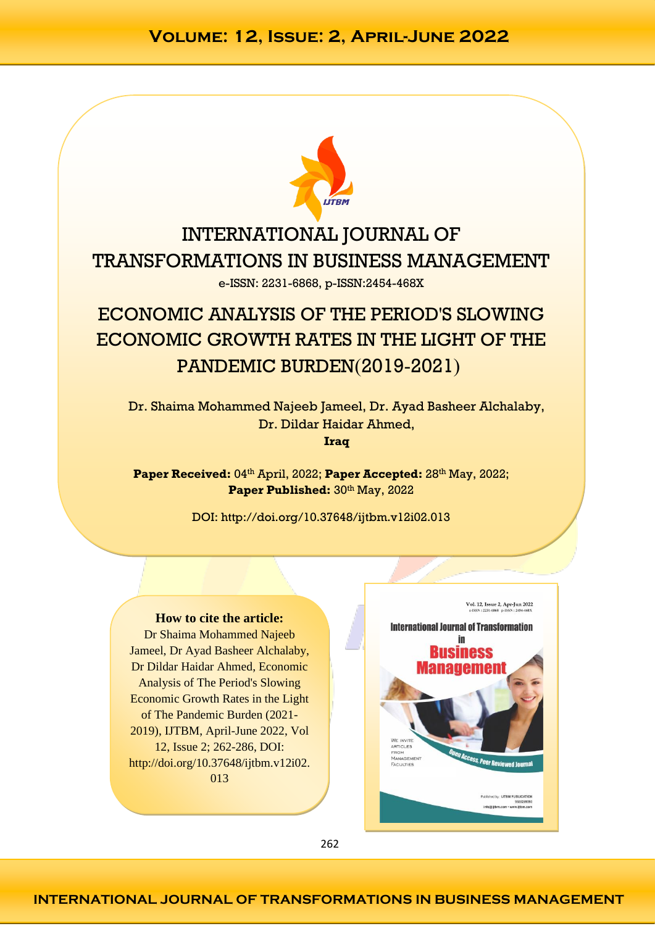

# INTERNATIONAL JOURNAL OF TRANSFORMATIONS IN BUSINESS MANAGEMENT e-ISSN: 2231-6868, p-ISSN:2454-468X

# ECONOMIC ANALYSIS OF THE PERIOD'S SLOWING ECONOMIC GROWTH RATES IN THE LIGHT OF THE PANDEMIC BURDEN(2019-2021)

Dr. Shaima Mohammed Najeeb Jameel, Dr. Ayad Basheer Alchalaby, Dr. Dildar Haidar Ahmed, **Iraq**

**Paper Received:** 04th April, 2022; **Paper Accepted:** 28 th May, 2022; Paper Published:  $30<sup>th</sup>$  May, 2022

DOI: http://doi.org/10.37648/ijtbm.v12i02.013

#### **How to cite the article:**

Dr Shaima Mohammed Najeeb Jameel, Dr Ayad Basheer Alchalaby, Dr Dildar Haidar Ahmed, Economic Analysis of The Period's Slowing Economic Growth Rates in the Light of The Pandemic Burden (2021- 2019), IJTBM, April-June 2022, Vol 12, Issue 2; 262-286, DOI: http://doi.org/10.37648/ijtbm.v12i02. 013



262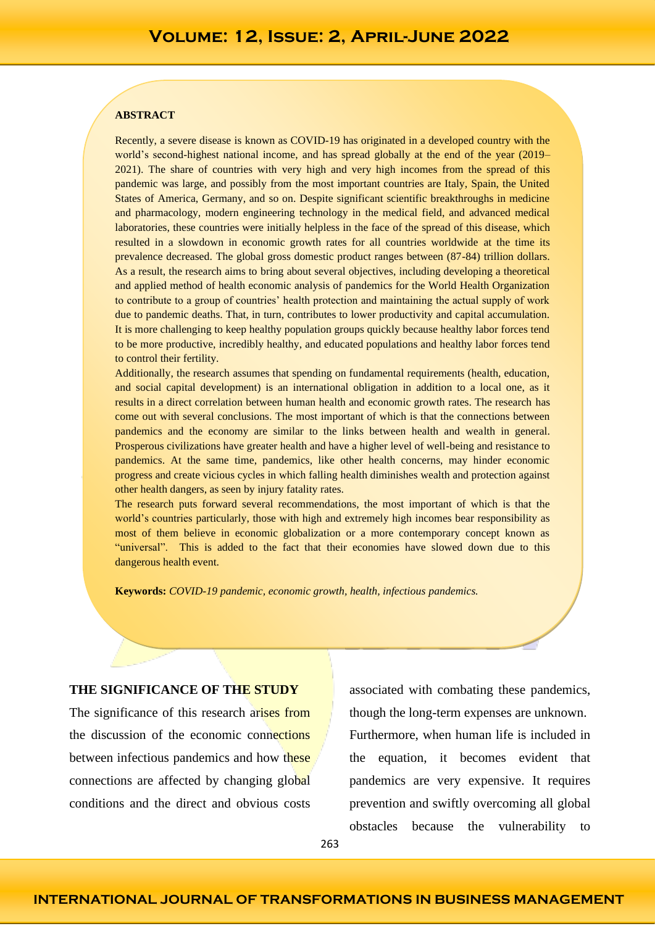#### **ABSTRACT**

Recently, a severe disease is known as COVID-19 has originated in a developed country with the world's second-highest national income, and has spread globally at the end of the year (2019– 2021). The share of countries with very high and very high incomes from the spread of this pandemic was large, and possibly from the most important countries are Italy, Spain, the United States of America, Germany, and so on. Despite significant scientific breakthroughs in medicine and pharmacology, modern engineering technology in the medical field, and advanced medical laboratories, these countries were initially helpless in the face of the spread of this disease, which resulted in a slowdown in economic growth rates for all countries worldwide at the time its prevalence decreased. The global gross domestic product ranges between (87-84) trillion dollars. As a result, the research aims to bring about several objectives, including developing a theoretical and applied method of health economic analysis of pandemics for the World Health Organization to contribute to a group of countries' health protection and maintaining the actual supply of work due to pandemic deaths. That, in turn, contributes to lower productivity and capital accumulation. It is more challenging to keep healthy population groups quickly because healthy labor forces tend to be more productive, incredibly healthy, and educated populations and healthy labor forces tend to control their fertility.

Additionally, the research assumes that spending on fundamental requirements (health, education, and social capital development) is an international obligation in addition to a local one, as it results in a direct correlation between human health and economic growth rates. The research has come out with several conclusions. The most important of which is that the connections between pandemics and the economy are similar to the links between health and wealth in general. Prosperous civilizations have greater health and have a higher level of well-being and resistance to pandemics. At the same time, pandemics, like other health concerns, may hinder economic progress and create vicious cycles in which falling health diminishes wealth and protection against other health dangers, as seen by injury fatality rates.

The research puts forward several recommendations, the most important of which is that the world's countries particularly, those with high and extremely high incomes bear responsibility as most of them believe in economic globalization or a more contemporary concept known as "universal". This is added to the fact that their economies have slowed down due to this dangerous health event.

**Keywords:** *COVID-19 pandemic, economic growth, health, infectious pandemics.*

#### **THE SIGNIFICANCE OF THE STUDY**

The significance of this research arises from the discussion of the economic connections between infectious pandemics and how these connections are affected by changing global conditions and the direct and obvious costs

associated with combating these pandemics, though the long-term expenses are unknown. Furthermore, when human life is included in the equation, it becomes evident that pandemics are very expensive. It requires prevention and swiftly overcoming all global obstacles because the vulnerability to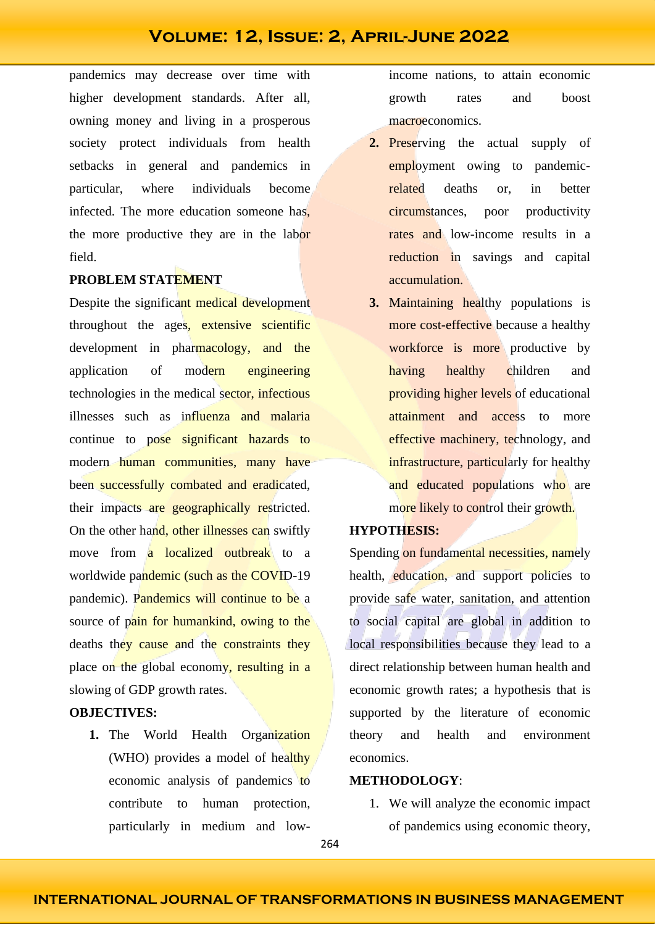pandemics may decrease over time with higher development standards. After all, owning money and living in a prosperous society protect individuals from health setbacks in general and pandemics in particular, where individuals become infected. The more education someone has, the more productive they are in the labor field.

#### **PROBLEM STATEMENT**

Despite the significant medical development throughout the ages, extensive scientific development in pharmacology, and the application of modern engineering technologies in the medical sector, infectious illnesses such as influenza and malaria continue to pose significant hazards to modern human communities, many have been successfully combated and eradicated, their impacts are geographically restricted. On the other hand, other illnesses can swiftly move from a localized outbreak to a worldwide pandemic (such as the COVID-19 pandemic). Pandemics will continue to be a source of pain for humankind, owing to the deaths they cause and the constraints they place on the global economy, resulting in a slowing of GDP growth rates.

#### **OBJECTIVES:**

**1.** The World Health Organization (WHO) provides a model of healthy economic analysis of pandemics to contribute to human protection, particularly in medium and lowincome nations, to attain economic growth rates and boost macroeconomics.

- 2. Preserving the actual supply of employment owing to pandemicrelated deaths or, in better circumstances, poor productivity rates and low-income results in a reduction in savings and capital accumulation.
- **3.** Maintaining healthy populations is more cost-effective because a healthy workforce is more productive by having healthy children and providing higher levels of educational attainment and access to more effective machinery, technology, and infrastructure, particularly for healthy and educated populations who are more likely to control their growth.

#### **HYPOTHESIS:**

Spending on fundamental necessities, namely health, education, and support policies to provide safe water, sanitation, and attention to social capital are global in addition to local responsibilities because they lead to a direct relationship between human health and economic growth rates; a hypothesis that is supported by the literature of economic theory and health and environment economics.

#### **METHODOLOGY**:

1. We will analyze the economic impact of pandemics using economic theory,

264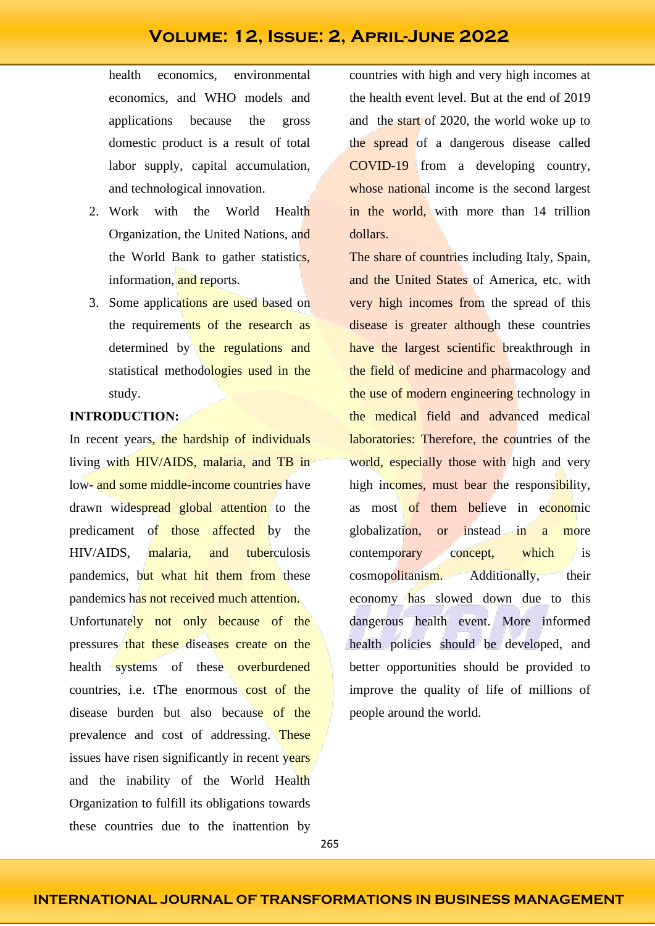health economics, environmental economics, and WHO models and applications because the gross domestic product is a result of total labor supply, capital accumulation, and technological innovation.

- 2. Work with the World Health Organization, the United Nations, and the World Bank to gather statistics, information, and reports.
- 3. Some applications are used based on the requirements of the research as determined by the regulations and statistical methodologies used in the study.

#### **INTRODUCTION:**

In recent years, the hardship of individuals living with HIV/AIDS, malaria, and TB in low- and some middle-income countries have drawn widespread global attention to the predicament of those affected by the HIV/AIDS, malaria, and tuberculosis pandemics, but what hit them from these pandemics has not received much attention.

Unfortunately not only because of the pressures that these diseases create on the health systems of these overburdened countries, i.e. tThe enormous cost of the disease burden but also because of the prevalence and cost of addressing. These issues have risen significantly in recent years and the inability of the World Health Organization to fulfill its obligations towards these countries due to the inattention by

countries with high and very high incomes at the health event level. But at the end of 2019 and the start of 2020, the world woke up to the spread of a dangerous disease called COVID-19 from a developing country, whose national income is the second largest in the world, with more than 14 trillion dollars.

The share of countries including Italy, Spain, and the United States of America, etc. with very high incomes from the spread of this disease is greater although these countries have the largest scientific breakthrough in the field of medicine and pharmacology and the use of modern engineering technology in the medical field and advanced medical laboratories: Therefore, the countries of the world, especially those with high and very high incomes, must bear the responsibility, as most of them believe in economic globalization, or instead in a more contemporary concept, which is cosmopolitanism. Additionally, their economy has slowed down due to this dangerous health event. More informed health policies should be developed, and better opportunities should be provided to improve the quality of life of millions of people around the world.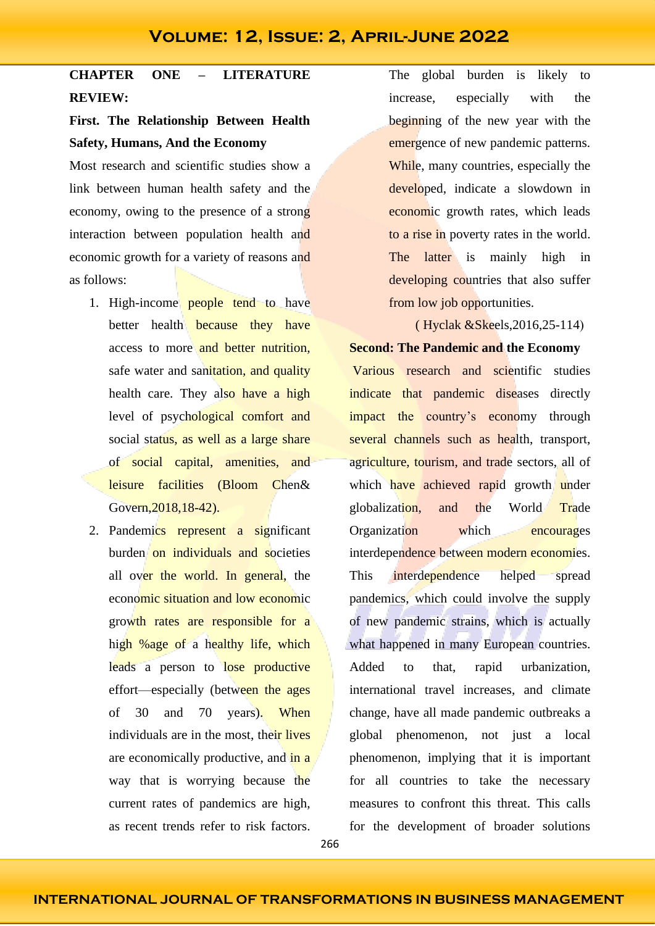### **CHAPTER ONE – LITERATURE REVIEW:**

### **First. The Relationship Between Health Safety, Humans, And the Economy**

Most research and scientific studies show a link between human health safety and the economy, owing to the presence of a strong interaction between population health and economic growth for a variety of reasons and as follows:

- 1. High-income **people tend to** have better health **because** they have access to more and better nutrition, safe water and sanitation, and quality health care. They also have a high level of psychological comfort and social status, as well as a large share of social capital, amenities, and leisure facilities (Bloom Chen& Govern,2018,18-42).
- 2. Pandemics represent a significant burden on individuals and societies all over the world. In general, the economic situation and low economic growth rates are responsible for a high %age of a healthy life, which leads a person to lose productive effort—especially (between the ages of 30 and 70 years). When individuals are in the most, their lives are economically productive, and in a way that is worrying because the current rates of pandemics are high, as recent trends refer to risk factors.

The global burden is likely to increase, especially with the beginning of the new year with the emergence of new pandemic patterns. While, many countries, especially the developed, indicate a slowdown in economic growth rates, which leads to a rise in poverty rates in the world. The latter is mainly high in developing countries that also suffer from low job opportunities.

( Hyclak &Skeels,2016,25-114(

#### **Second: The Pandemic and the Economy**

Various research and scientific studies indicate that pandemic diseases directly impact the country's economy through several channels such as health, transport, agriculture, tourism, and trade sectors, all of which have achieved rapid growth under globalization, and the World Trade Organization which encourages interdependence between modern economies. This **interdependence** helped spread pandemics, which could involve the supply of new pandemic strains, which is actually what happened in many European countries. Added to that, rapid urbanization, international travel increases, and climate change, have all made pandemic outbreaks a global phenomenon, not just a local phenomenon, implying that it is important for all countries to take the necessary measures to confront this threat. This calls for the development of broader solutions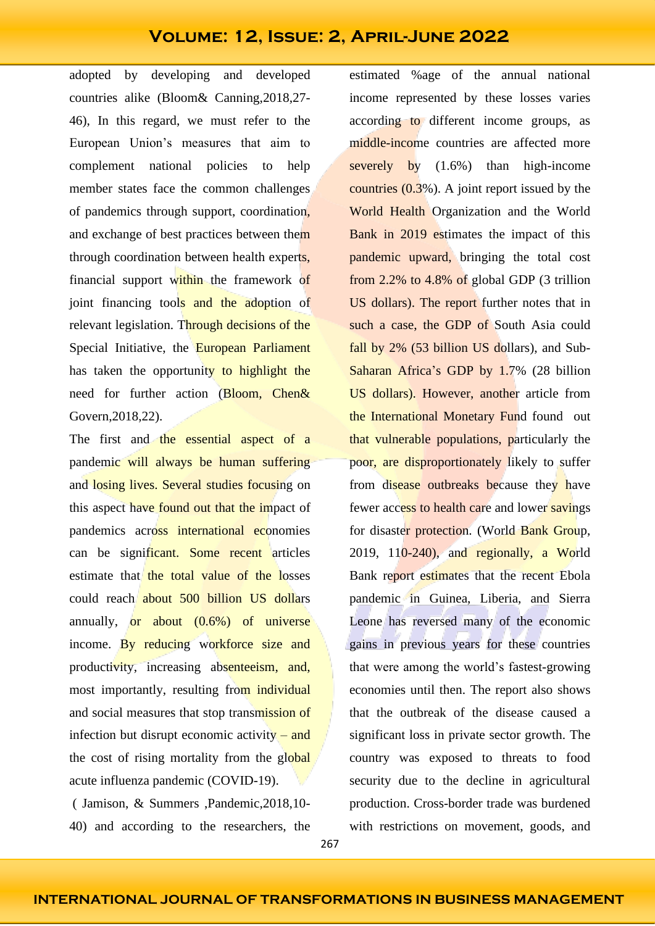adopted by developing and developed countries alike (Bloom& Canning,2018,27- 46), In this regard, we must refer to the European Union's measures that aim to complement national policies to help member states face the common challenges of pandemics through support, coordination, and exchange of best practices between them through coordination between health experts, financial support within the framework of joint financing tools and the adoption of relevant legislation. Through decisions of the Special Initiative, the European Parliament has taken the opportunity to highlight the need for further action (Bloom, Chen& Govern,2018,22).

The first and the essential aspect of a pandemic will always be human suffering and losing lives. Several studies focusing on this aspect have found out that the impact of pandemics across international economies can be significant. Some recent articles estimate that the total value of the losses could reach about 500 billion US dollars annually, or about (0.6%) of universe income. By reducing workforce size and productivity, increasing absenteeism, and, most importantly, resulting from individual and social measures that stop transmission of infection but disrupt economic activity – and the cost of rising mortality from the global acute influenza pandemic (COVID-19).

( Jamison, & Summers ,Pandemic,2018,10- 40) and according to the researchers, the estimated %age of the annual national income represented by these losses varies according to different income groups, as middle-income countries are affected more severely by  $(1.6\%)$  than high-income countries  $(0.3\%)$ . A joint report issued by the World Health Organization and the World Bank in 2019 estimates the impact of this pandemic upward, bringing the total cost from 2.2% to 4.8% of global GDP (3 trillion US dollars). The report further notes that in such a case, the GDP of South Asia could fall by 2% (53 billion US dollars), and Sub-Saharan Africa's GDP by 1.7% (28 billion US dollars). However, another article from the International Monetary Fund found out that vulnerable populations, particularly the poor, are disproportionately likely to suffer from disease outbreaks because they have fewer access to health care and lower savings for disaster protection. (World Bank Group, 2019, 110-240), and regionally, a World Bank report estimates that the recent Ebola pandemic in Guinea, Liberia, and Sierra Leone has reversed many of the economic gains in previous years for these countries that were among the world's fastest-growing economies until then. The report also shows that the outbreak of the disease caused a significant loss in private sector growth. The country was exposed to threats to food security due to the decline in agricultural production. Cross-border trade was burdened

with restrictions on movement, goods, and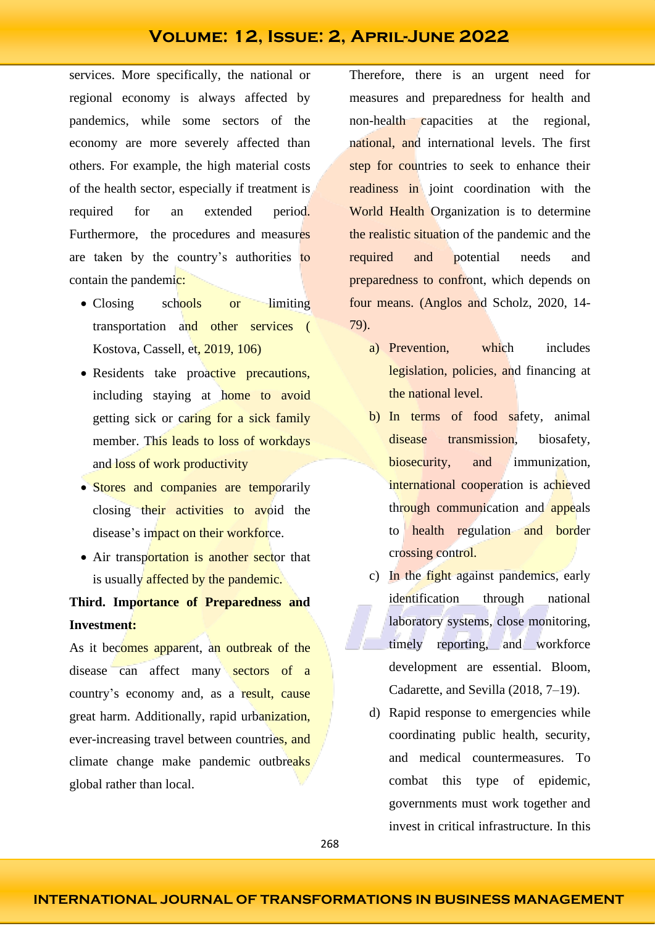services. More specifically, the national or regional economy is always affected by pandemics, while some sectors of the economy are more severely affected than others. For example, the high material costs of the health sector, especially if treatment is required for an extended period. Furthermore, the procedures and measures are taken by the country's authorities to contain the pandemic:

- Closing schools or limiting transportation and other services ( Kostova, Cassell, et, 2019, 106)
- Residents take proactive precautions, including staying at home to avoid getting sick or caring for a sick family member. This leads to loss of workdays and loss of work productivity
- Stores and companies are temporarily closing their activities to avoid the disease's impact on their workforce.
- Air transportation is another sector that is usually affected by the pandemic.

### **Third. Importance of Preparedness and Investment:**

As it becomes apparent, an outbreak of the disease can affect many sectors of a country's economy and, as a result, cause great harm. Additionally, rapid urbanization, ever-increasing travel between countries, and climate change make pandemic outbreaks global rather than local.

Therefore, there is an urgent need for measures and preparedness for health and non-health capacities at the regional, national, and international levels. The first step for countries to seek to enhance their readiness in joint coordination with the World Health Organization is to determine the realistic situation of the pandemic and the required and potential needs and preparedness to confront, which depends on four means. (Anglos and Scholz, 2020, 14- 79).

- a) Prevention, which includes legislation, policies, and financing at the national level.
- b) In terms of food safety, animal disease transmission, biosafety, biosecurity, and immunization, international cooperation is achieved through communication and appeals to health regulation and border crossing control.
- c) In the fight against pandemics, early identification through national laboratory systems, close monitoring, timely reporting, and workforce development are essential. Bloom, Cadarette, and Sevilla (2018, 7–19).
- d) Rapid response to emergencies while coordinating public health, security, and medical countermeasures. To combat this type of epidemic, governments must work together and invest in critical infrastructure. In this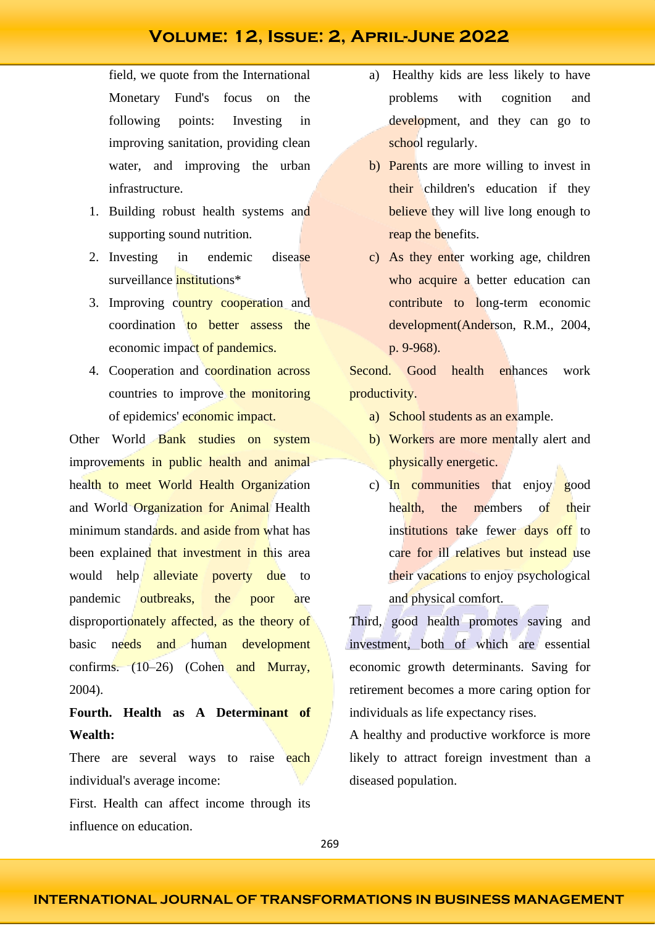field, we quote from the International Monetary Fund's focus on the following points: Investing in improving sanitation, providing clean water, and improving the urban infrastructure.

- 1. Building robust health systems and supporting sound nutrition.
- 2. Investing in endemic disease surveillance institutions\*
- 3. Improving country cooperation and coordination to better assess the economic impact of pandemics.
- 4. Cooperation and coordination across countries to improve the monitoring of epidemics' economic impact.

Other World Bank studies on system improvements in public health and animal health to meet World Health Organization and World Organization for Animal Health minimum standards, and aside from what has been explained that investment in this area would help alleviate poverty due to pandemic outbreaks, the poor are disproportionately affected, as the theory of basic needs and human development confirms. (10–26) (Cohen and Murray, 2004).

**Fourth. Health as A Determinant of Wealth:** 

There are several ways to raise each individual's average income:

First. Health can affect income through its influence on education.

- a) Healthy kids are less likely to have problems with cognition and development, and they can go to school regularly.
- b) Parents are more willing to invest in their children's education if they believe they will live long enough to reap the benefits.
- c) As they enter working age, children who acquire a better education can contribute to long-term economic development(Anderson, R.M., 2004, p. 9-968).

Second. Good health enhances work productivity.

- a) School students as an example.
- b) Workers are more mentally alert and physically energetic.
- c) In communities that enjoy good health, the members of their institutions take fewer days off to care for ill relatives but instead use their vacations to enjoy psychological and physical comfort.

Third, good health promotes saving and investment, both of which are essential economic growth determinants. Saving for retirement becomes a more caring option for individuals as life expectancy rises.

A healthy and productive workforce is more likely to attract foreign investment than a diseased population.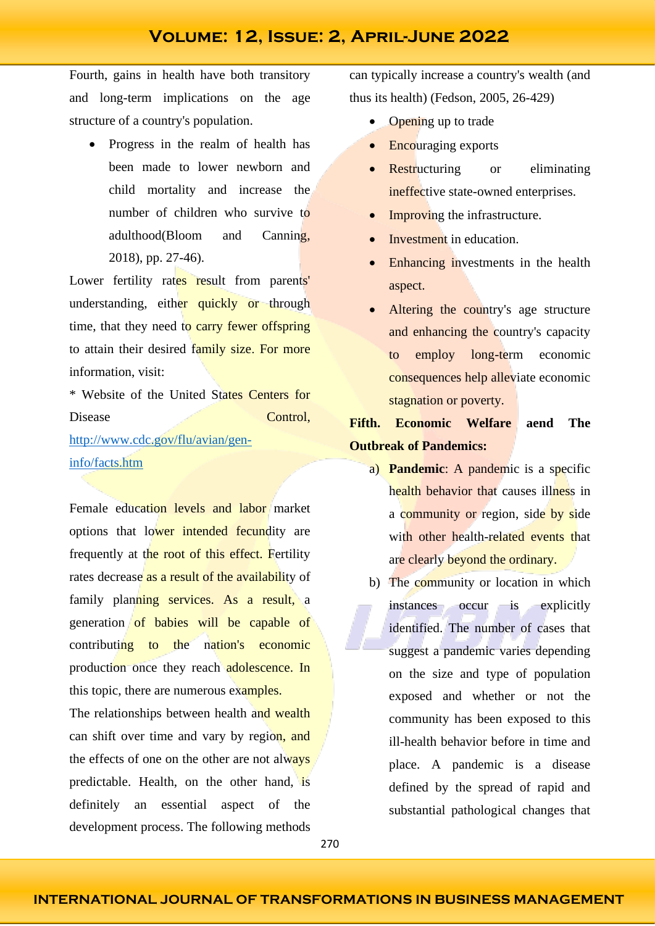Fourth, gains in health have both transitory and long-term implications on the age structure of a country's population.

• Progress in the realm of health has been made to lower newborn and child mortality and increase the number of children who survive to adulthood(Bloom and Canning, 2018), pp. 27-46).

Lower fertility rates result from parents' understanding, either quickly or through time, that they need to carry fewer offspring to attain their desired family size. For more information, visit:

\* Website of the United States Centers for Disease Control, [http://www.cdc.gov/flu/avian/gen](http://www.cdc.gov/flu/avian/gen-info/facts.htm)[info/facts.htm](http://www.cdc.gov/flu/avian/gen-info/facts.htm)

Female education levels and labor market options that lower intended fecundity are frequently at the root of this effect. Fertility rates decrease as a result of the availability of family planning services. As a result, a generation of babies will be capable of contributing to the nation's economic production once they reach adolescence. In this topic, there are numerous examples.

The relationships between health and wealth can shift over time and vary by region, and the effects of one on the other are not always predictable. Health, on the other hand, is definitely an essential aspect of the development process. The following methods

can typically increase a country's wealth (and thus its health) (Fedson, 2005, 26-429)

- Opening up to trade
- Encouraging exports
- Restructuring or eliminating ineffective state-owned enterprises.
- Improving the infrastructure.
- **Investment** in education.
- Enhancing investments in the health aspect.
- Altering the country's age structure and enhancing the country's capacity to employ long-term economic consequences help alleviate economic stagnation or poverty.

### **Fifth. Economic Welfare aend The Outbreak of Pandemics:**

- a) **Pandemic**: A pandemic is a specific health behavior that causes illness in a community or region, side by side with other health-related events that are clearly beyond the ordinary.
- b) The community or location in which instances occur is explicitly identified. The number of cases that suggest a pandemic varies depending on the size and type of population exposed and whether or not the community has been exposed to this ill-health behavior before in time and place. A pandemic is a disease defined by the spread of rapid and substantial pathological changes that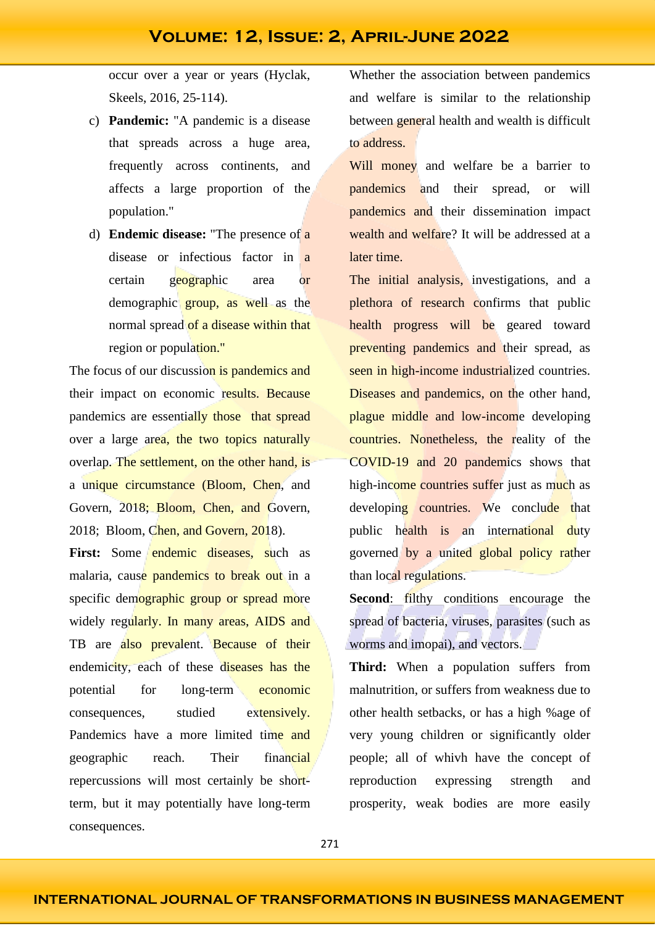occur over a year or years (Hyclak, Skeels, 2016, 25-114).

- c) **Pandemic:** "A pandemic is a disease that spreads across a huge area, frequently across continents, and affects a large proportion of the population."
- d) **Endemic disease:** "The presence of a disease or infectious factor in a certain geographic area or demographic group, as well as the normal spread of a disease within that region or population."

The focus of our discussion is pandemics and their impact on economic results. Because pandemics are essentially those that spread over a large area, the two topics naturally overlap. The settlement, on the other hand, is a unique circumstance (Bloom, Chen, and Govern, 2018; Bloom, Chen, and Govern, 2018; Bloom, Chen, and Govern, 2018).

**First:** Some **endemic diseases**, such as malaria, cause pandemics to break out in a specific demographic group or spread more widely regularly. In many areas, AIDS and TB are also prevalent. Because of their endemicity, each of these diseases has the potential for long-term economic consequences, studied extensively. Pandemics have a more limited time and geographic reach. Their financial repercussions will most certainly be shortterm, but it may potentially have long-term consequences.

Whether the association between pandemics and welfare is similar to the relationship between general health and wealth is difficult to address.

Will money and welfare be a barrier to pandemics and their spread, or will pandemics and their dissemination impact wealth and welfare? It will be addressed at a later time.

The initial analysis, investigations, and a plethora of research confirms that public health progress will be geared toward preventing pandemics and their spread, as seen in high-income industrialized countries. Diseases and pandemics, on the other hand, plague middle and low-income developing countries. Nonetheless, the reality of the COVID-19 and 20 pandemics shows that high-income countries suffer just as much as developing countries. We conclude that public health is an international duty governed by a united global policy rather than local regulations.

**Second:** filthy conditions encourage the spread of bacteria, viruses, parasites (such as worms and imopai), and vectors.

**Third:** When a population suffers from malnutrition, or suffers from weakness due to other health setbacks, or has a high %age of very young children or significantly older people; all of whivh have the concept of reproduction expressing strength and prosperity, weak bodies are more easily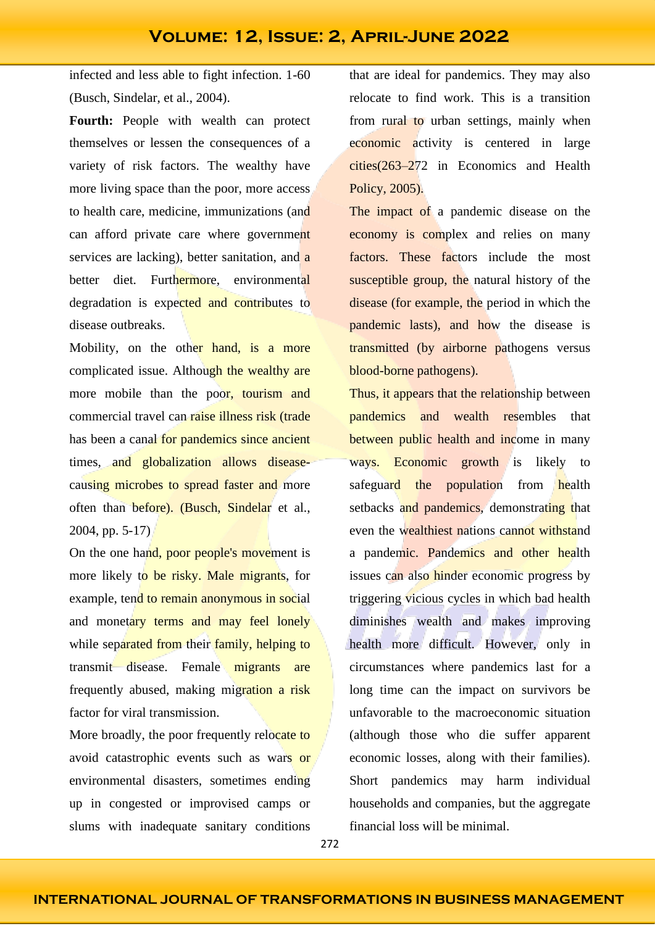infected and less able to fight infection. 1-60 (Busch, Sindelar, et al., 2004).

**Fourth:** People with wealth can protect themselves or lessen the consequences of a variety of risk factors. The wealthy have more living space than the poor, more access to health care, medicine, immunizations (and can afford private care where government services are lacking), better sanitation, and a better diet. Furthermore, environmental degradation is expected and contributes to disease outbreaks.

Mobility, on the other hand, is a more complicated issue. Although the wealthy are more mobile than the poor, tourism and commercial travel can raise illness risk (trade has been a canal for pandemics since ancient times, and globalization allows diseasecausing microbes to spread faster and more often than before). (Busch, Sindelar et al., 2004, pp. 5-17)

On the one hand, poor people's movement is more likely to be risky. Male migrants, for example, tend to remain anonymous in social and monetary terms and may feel lonely while separated from their family, helping to transmit disease. Female migrants are frequently abused, making migration a risk factor for viral transmission.

More broadly, the poor frequently relocate to avoid catastrophic events such as wars or environmental disasters, sometimes ending up in congested or improvised camps or slums with inadequate sanitary conditions

that are ideal for pandemics. They may also relocate to find work. This is a transition from rural to urban settings, mainly when economic activity is centered in large cities(263–272 in Economics and Health Policy, 2005).

The impact of a pandemic disease on the economy is complex and relies on many factors. These factors include the most susceptible group, the natural history of the disease (for example, the period in which the pandemic lasts), and how the disease is transmitted (by airborne pathogens versus blood-borne pathogens).

Thus, it appears that the relationship between pandemics and wealth resembles that between public health and income in many ways. Economic growth is likely to safeguard the population from health setbacks and pandemics, demonstrating that even the wealthiest nations cannot withstand a pandemic. Pandemics and other health issues can also hinder economic progress by triggering vicious cycles in which bad health diminishes wealth and makes improving health more difficult. However, only in circumstances where pandemics last for a long time can the impact on survivors be unfavorable to the macroeconomic situation (although those who die suffer apparent economic losses, along with their families). Short pandemics may harm individual households and companies, but the aggregate financial loss will be minimal.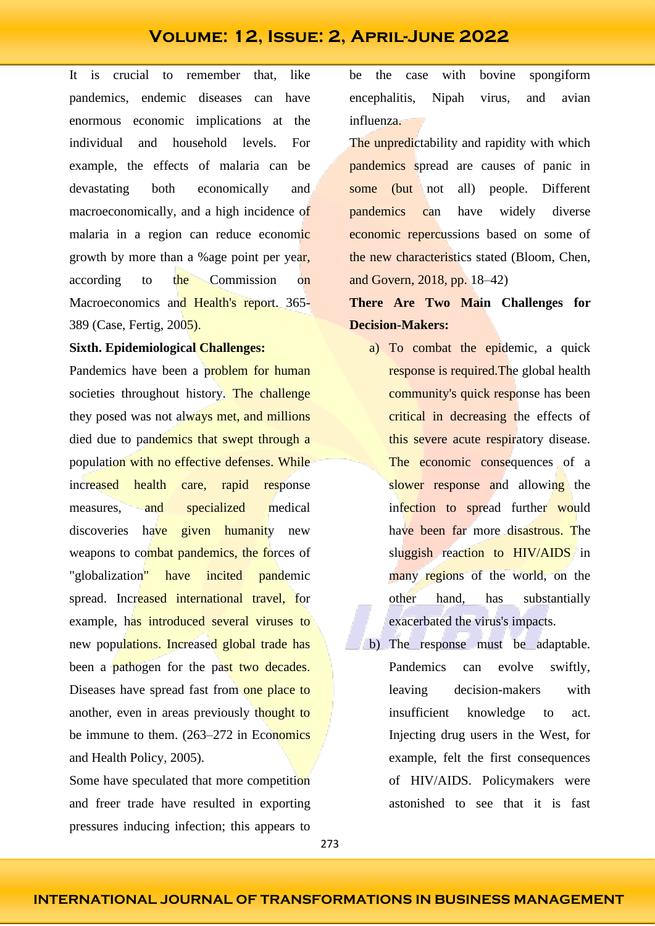It is crucial to remember that, like pandemics, endemic diseases can have enormous economic implications at the individual and household levels. For example, the effects of malaria can be devastating both economically and macroeconomically, and a high incidence of malaria in a region can reduce economic growth by more than a %age point per year, according to the Commission on Macroeconomics and Health's report. 365-389 (Case, Fertig, 2005).

#### **Sixth. Epidemiological Challenges:**

Pandemics have been a problem for human societies throughout history. The challenge they posed was not always met, and millions died due to pandemics that swept through a population with no effective defenses. While increased health care, rapid response measures, and specialized medical discoveries have given humanity new weapons to combat pandemics, the forces of "globalization" have incited pandemic spread. Increased international travel, for example, has introduced several viruses to new populations. Increased global trade has been a pathogen for the past two decades. Diseases have spread fast from one place to another, even in areas previously thought to be immune to them. (263–272 in Economics and Health Policy, 2005).

Some have speculated that more competition and freer trade have resulted in exporting pressures inducing infection; this appears to

be the case with bovine spongiform encephalitis, Nipah virus, and avian influenza.

The unpredictability and rapidity with which pandemics spread are causes of panic in some (but not all) people. Different pandemics can have widely diverse economic repercussions based on some of the new characteristics stated (Bloom, Chen, and Govern, 2018, pp. 18–42)

### **There Are Two Main Challenges for Decision-Makers:**

- a) To combat the epidemic, a quick response is required.The global health community's quick response has been critical in decreasing the effects of this severe acute respiratory disease. The economic consequences of a slower response and allowing the infection to spread further would have been far more disastrous. The sluggish reaction to HIV/AIDS in many regions of the world, on the other hand, has substantially exacerbated the virus's impacts.
- b) The response must be adaptable. Pandemics can evolve swiftly, leaving decision-makers with insufficient knowledge to act. Injecting drug users in the West, for example, felt the first consequences of HIV/AIDS. Policymakers were astonished to see that it is fast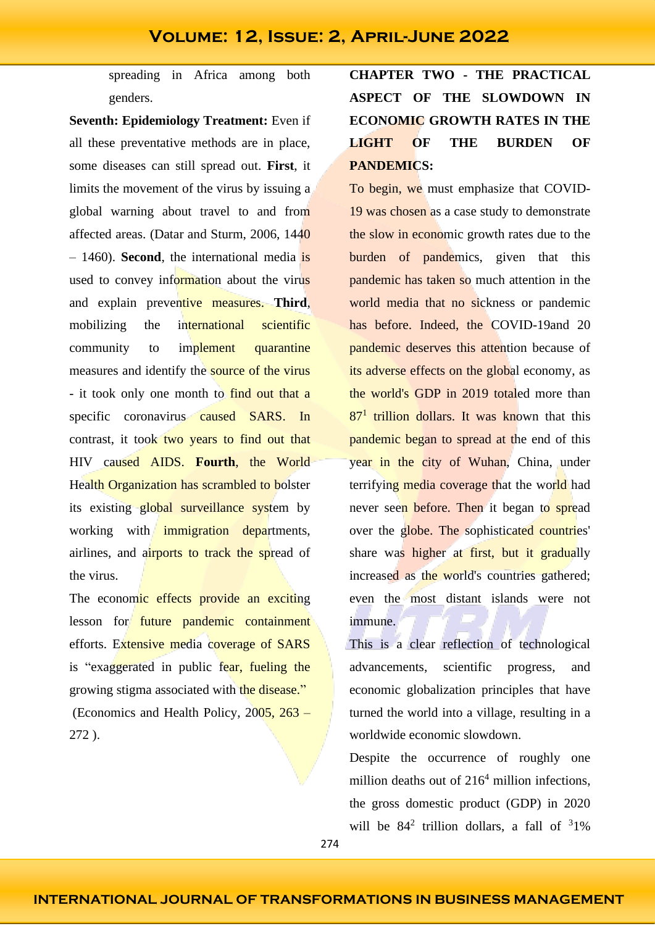spreading in Africa among both genders.

**Seventh: Epidemiology Treatment:** Even if all these preventative methods are in place, some diseases can still spread out. **First**, it limits the movement of the virus by issuing a global warning about travel to and from affected areas. (Datar and Sturm, 2006, 1440 – 1460). **Second**, the international media is used to convey information about the virus and explain preventive measures. **Third**, mobilizing the international scientific community to implement quarantine measures and identify the source of the virus - it took only one month to find out that a specific coronavirus caused SARS. In contrast, it took two years to find out that HIV caused AIDS. **Fourth**, the World Health Organization has scrambled to bolster its existing global surveillance system by working with *immigration* departments, airlines, and airports to track the spread of the virus.

The economic effects provide an exciting lesson for future pandemic containment efforts. Extensive media coverage of SARS is "exaggerated in public fear, fueling the growing stigma associated with the disease." (Economics and Health Policy,  $2005$ ,  $263 -$ 272 ).

# **CHAPTER TWO - THE PRACTICAL ASPECT OF THE SLOWDOWN IN ECONOMIC GROWTH RATES IN THE LIGHT OF THE BURDEN OF PANDEMICS:**

To begin, we must emphasize that COVID-19 was chosen as a case study to demonstrate the slow in economic growth rates due to the burden of pandemics, given that this pandemic has taken so much attention in the world media that no sickness or pandemic has before. Indeed, the COVID-19and 20 pandemic deserves this attention because of its adverse effects on the global economy, as the world's GDP in 2019 totaled more than  $87<sup>1</sup>$  trillion dollars. It was known that this pandemic began to spread at the end of this year in the city of Wuhan, China, under terrifying media coverage that the world had never seen before. Then it began to spread over the globe. The sophisticated countries' share was higher at first, but it gradually increased as the world's countries gathered; even the most distant islands were not immune.

This is a clear reflection of technological advancements, scientific progress, and economic globalization principles that have turned the world into a village, resulting in a worldwide economic slowdown.

Despite the occurrence of roughly one million deaths out of  $216<sup>4</sup>$  million infections, the gross domestic product (GDP) in 2020 will be  $84<sup>2</sup>$  trillion dollars, a fall of  $31\%$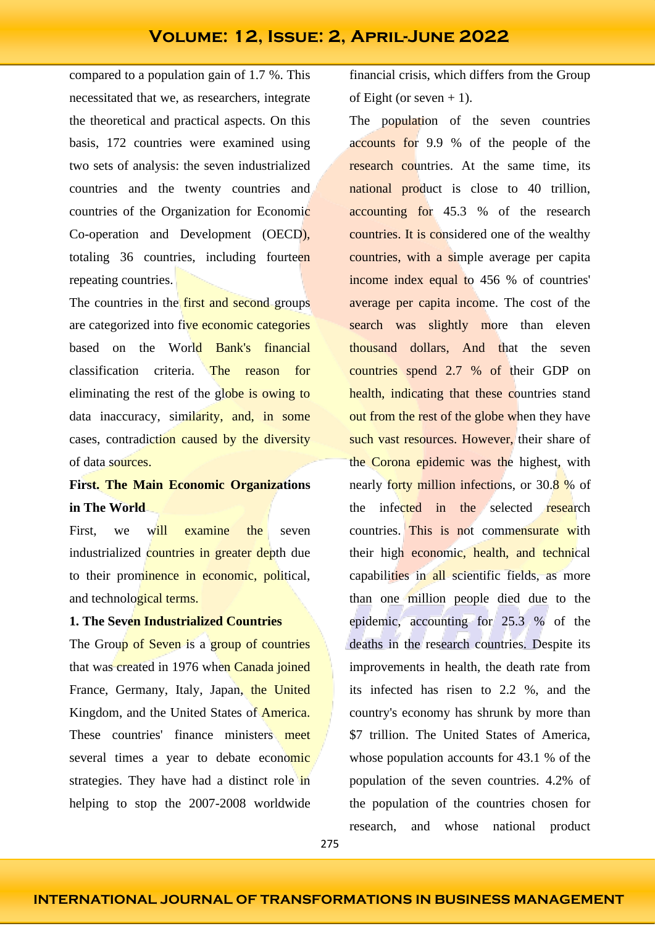compared to a population gain of 1.7 %. This necessitated that we, as researchers, integrate the theoretical and practical aspects. On this basis, 172 countries were examined using two sets of analysis: the seven industrialized countries and the twenty countries and countries of the Organization for Economic Co-operation and Development (OECD), totaling 36 countries, including fourteen repeating countries.

The countries in the **first and second** groups are categorized into five economic categories based on the World Bank's financial classification criteria. The reason for eliminating the rest of the globe is owing to data inaccuracy, similarity, and, in some cases, contradiction caused by the diversity of data sources.

#### **First. The Main Economic Organizations in The World**

First, we will examine the seven industrialized countries in greater depth due to their prominence in economic, political, and technological terms.

#### **1. The Seven Industrialized Countries**

The Group of Seven is a group of countries that was created in 1976 when Canada joined France, Germany, Italy, Japan, the United Kingdom, and the United States of America. These countries' finance ministers meet several times a year to debate economic strategies. They have had a distinct role in helping to stop the 2007-2008 worldwide

financial crisis, which differs from the Group of Eight (or seven  $+1$ ).

The population of the seven countries accounts for 9.9 % of the people of the research countries. At the same time, its national product is close to 40 trillion, accounting for 45.3 % of the research countries. It is considered one of the wealthy countries, with a simple average per capita income index equal to 456 % of countries' average per capita income. The cost of the search was slightly more than eleven thousand dollars, And that the seven countries spend 2.7 % of their GDP on health, indicating that these countries stand out from the rest of the globe when they have such vast resources. However, their share of the Corona epidemic was the highest, with nearly forty million infections, or 30.8 % of the infected in the selected research countries. This is not commensurate with their high economic, health, and technical capabilities in all scientific fields, as more than one million people died due to the epidemic, accounting for 25.3 % of the deaths in the research countries. Despite its improvements in health, the death rate from its infected has risen to 2.2 %, and the country's economy has shrunk by more than \$7 trillion. The United States of America, whose population accounts for 43.1 % of the population of the seven countries. 4.2% of the population of the countries chosen for research, and whose national product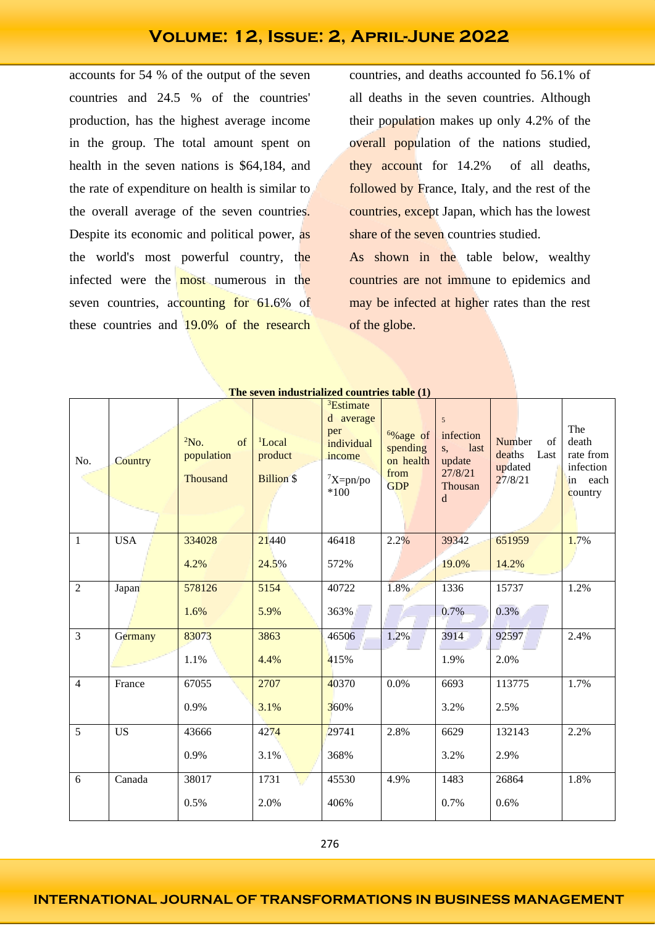accounts for 54 % of the output of the seven countries and 24.5 % of the countries' production, has the highest average income in the group. The total amount spent on health in the seven nations is \$64,184, and the rate of expenditure on health is similar to the overall average of the seven countries. Despite its economic and political power, as the world's most powerful country, the infected were the **most** numerous in the seven countries, accounting for 61.6% of these countries and 19.0% of the research

countries, and deaths accounted fo 56.1% of all deaths in the seven countries. Although their population makes up only 4.2% of the overall population of the nations studied, they account for 14.2% of all deaths, followed by France, Italy, and the rest of the countries, except Japan, which has the lowest share of the seven countries studied.

As shown in the table below, wealthy countries are not immune to epidemics and may be infected at higher rates than the rest of the globe.

| No.            | <b>Country</b> | $2N0$ .<br>of<br>population<br><b>Thousand</b> | <sup>1</sup> Local<br>product<br><b>Billion \$</b> | <sup>3</sup> Estimate<br>d average<br>per<br>individual<br>income<br>$7X=pn/po$<br>$*100$ | $6\%$ age of<br>spending<br>on health<br>from<br><b>GDP</b> | 5<br>infection<br>last<br>S,<br>update<br>27/8/21<br>Thousan<br>$\mathbf d$ | <b>Number</b><br>of<br>deaths<br>Last<br>updated<br>27/8/21 | The<br>death<br>rate from<br>infection<br>in each<br>country |
|----------------|----------------|------------------------------------------------|----------------------------------------------------|-------------------------------------------------------------------------------------------|-------------------------------------------------------------|-----------------------------------------------------------------------------|-------------------------------------------------------------|--------------------------------------------------------------|
| $\mathbf{1}$   | <b>USA</b>     | 334028                                         | 21440                                              | 46418                                                                                     | 2.2%                                                        | 39342                                                                       | 651959                                                      | 1.7%                                                         |
|                |                | 4.2%                                           | 24.5%                                              | 572%                                                                                      |                                                             | 19.0%                                                                       | 14.2%                                                       |                                                              |
| $\overline{2}$ | Japan          | 578126                                         | 5154                                               | 40722                                                                                     | 1.8%                                                        | 1336                                                                        | 15737                                                       | 1.2%                                                         |
|                |                | 1.6%                                           | 5.9%                                               | 363%                                                                                      |                                                             | 0.7%                                                                        | 0.3%                                                        |                                                              |
| $\overline{3}$ | Germany        | 83073                                          | 3863                                               | 46506                                                                                     | 1.2%                                                        | 3914                                                                        | 92597                                                       | 2.4%                                                         |
|                |                | 1.1%                                           | 4.4%                                               | 415%                                                                                      |                                                             | 1.9%                                                                        | 2.0%                                                        |                                                              |
| $\overline{4}$ | France         | 67055                                          | 2707                                               | 40370                                                                                     | 0.0%                                                        |                                                                             | 113775                                                      | 1.7%                                                         |
|                |                | 0.9%                                           | 3.1%                                               | 360%                                                                                      |                                                             | 3.2%                                                                        | 2.5%                                                        |                                                              |
| 5              | <b>US</b>      | 43666                                          | 4274                                               | 29741                                                                                     | 2.8%                                                        | 6629                                                                        | 132143                                                      | 2.2%                                                         |
|                |                | 0.9%                                           | 3.1%                                               | 368%                                                                                      |                                                             | 3.2%                                                                        | 2.9%                                                        |                                                              |
| 6              | Canada         | 38017                                          | 1731                                               | 45530                                                                                     | 4.9%                                                        | 1483                                                                        | 26864                                                       | 1.8%                                                         |
|                |                | 0.5%                                           | 2.0%                                               | 406%                                                                                      |                                                             | 0.7%                                                                        | 0.6%                                                        |                                                              |

#### **The seven industrialized countries table (1)**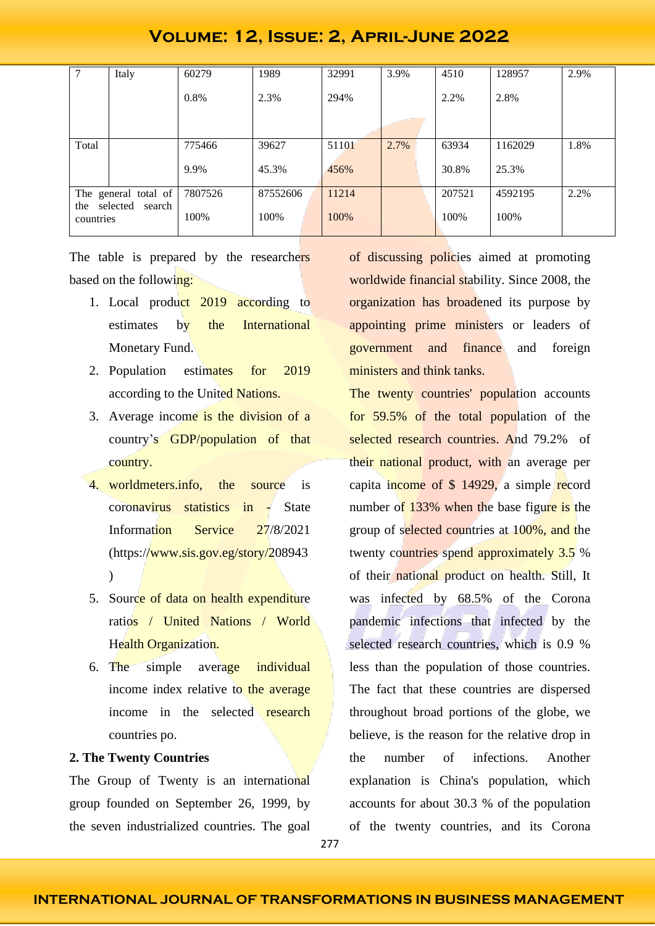| $\overline{7}$                   | Italy | 60279   | 1989     | 32991 | 3.9% | 4510   | 128957  | 2.9% |
|----------------------------------|-------|---------|----------|-------|------|--------|---------|------|
|                                  |       | 0.8%    | 2.3%     | 294%  |      | 2.2%   | 2.8%    |      |
|                                  |       |         |          |       |      |        |         |      |
| Total                            |       | 775466  | 39627    | 51101 | 2.7% | 63934  | 1162029 | 1.8% |
|                                  |       | 9.9%    | 45.3%    | 456%  |      | 30.8%  | 25.3%   |      |
| The general total of             |       | 7807526 | 87552606 | 11214 |      | 207521 | 4592195 | 2.2% |
| the selected search<br>countries |       | 100%    | 100%     | 100%  |      | 100%   | 100%    |      |

The table is prepared by the researchers based on the following:

- 1. Local product 2019 according to estimates by the International Monetary Fund.
- 2. Population estimates for 2019 according to the United Nations.
- 3. Average income is the division of a country's GDP/population of that country.
- 4. worldmeters.info, the source is coronavirus statistics in - State Information Service 27/8/2021 (https://www.sis.gov.eg/story/208943 )
- 5. Source of data on health expenditure ratios / United Nations / World Health Organization.
- 6. The simple average individual income index relative to the average income in the selected research countries po.

#### **2. The Twenty Countries**

The Group of Twenty is an international group founded on September 26, 1999, by the seven industrialized countries. The goal of discussing policies aimed at promoting worldwide financial stability. Since 2008, the organization has broadened its purpose by appointing prime ministers or leaders of government and finance and foreign ministers and think tanks.

The twenty countries' population accounts for 59.5% of the total population of the selected research countries. And 79.2% of their national product, with an average per capita income of \$ 14929, a simple record number of 133% when the base figure is the group of selected countries at 100%, and the twenty countries spend approximately 3.5 % of their national product on health. Still, It was infected by 68.5% of the Corona pandemic infections that infected by the selected research countries, which is 0.9 % less than the population of those countries. The fact that these countries are dispersed throughout broad portions of the globe, we believe, is the reason for the relative drop in the number of infections. Another explanation is China's population, which accounts for about 30.3 % of the population of the twenty countries, and its Corona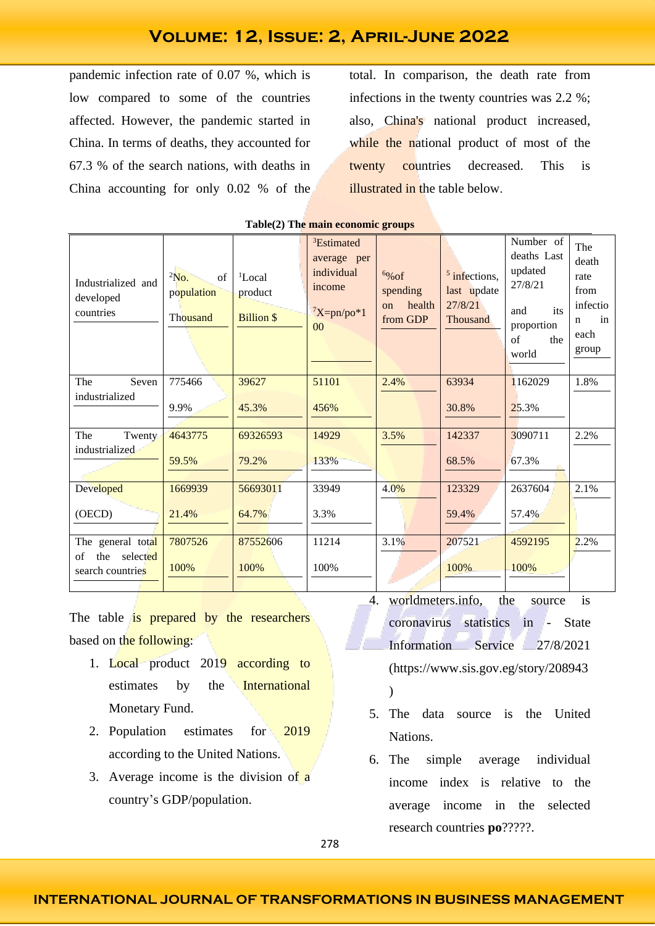pandemic infection rate of 0.07 %, which is low compared to some of the countries affected. However, the pandemic started in China. In terms of deaths, they accounted for 67.3 % of the search nations, with deaths in China accounting for only 0.02 % of the total. In comparison, the death rate from infections in the twenty countries was 2.2 %; also, China's national product increased, while the national product of most of the twenty countries decreased. This is illustrated in the table below.

| Industrialized and<br>developed<br>countries | $2NO$ .<br>$\sigma$ f<br>population<br>Thousand | <sup>1</sup> Local<br>product<br><b>Billion \$</b> | <sup>3</sup> Estimated<br>average per<br>individual<br>income<br>$7X=pn/po*1$<br>00 | $6\%$ of<br>spending<br>health<br>on<br>from GDP | $\frac{5}{1}$ infections,<br>last update<br>27/8/21<br>Thousand | Number of<br>deaths Last<br>updated<br>27/8/21<br>its<br>and<br>proportion<br>of<br>the<br>world | The<br>death<br>rate<br>from<br>infectio<br>in<br>$\mathbf n$<br>each<br>group |
|----------------------------------------------|-------------------------------------------------|----------------------------------------------------|-------------------------------------------------------------------------------------|--------------------------------------------------|-----------------------------------------------------------------|--------------------------------------------------------------------------------------------------|--------------------------------------------------------------------------------|
| The<br>Seven                                 | 775466                                          | 39627                                              | 51101                                                                               | 2.4%                                             | 63934                                                           | 1162029                                                                                          | 1.8%                                                                           |
| industrialized                               | 9.9%                                            | 45.3%                                              | 456%                                                                                |                                                  | 30.8%                                                           | 25.3%                                                                                            |                                                                                |
| The<br>Twenty                                | 4643775                                         | 69326593                                           | 14929                                                                               | 3.5%                                             | 142337                                                          | 3090711                                                                                          | 2.2%                                                                           |
| industrialized                               | 59.5%                                           | 79.2%                                              | 133%                                                                                |                                                  | 68.5%                                                           | 67.3%                                                                                            |                                                                                |
| Developed                                    | 1669939                                         | 56693011                                           | 33949                                                                               | 4.0%                                             | 123329                                                          | 2637604                                                                                          | 2.1%                                                                           |
| (OECD)                                       | 21.4%                                           | 64.7%                                              | 3.3%                                                                                |                                                  | 59.4%                                                           | 57.4%                                                                                            |                                                                                |
| The general total                            | 7807526                                         | 87552606                                           | 11214                                                                               | 3.1%                                             | 207521                                                          | 4592195                                                                                          | 2.2%                                                                           |
| the selected<br>of<br>search countries       | 100%                                            | 100%                                               | 100%                                                                                |                                                  | 100%                                                            | 100%                                                                                             |                                                                                |

#### **Table(2) The main economic groups**

The table is prepared by the researchers based on the following:

- 1. Local product 2019 according to estimates by the International Monetary Fund.
- 2. Population estimates for 2019 according to the United Nations.
- 3. Average income is the division of a country's GDP/population.
- 4. worldmeters.info, the source is coronavirus statistics in - State Information Service 27/8/2021 (https://www.sis.gov.eg/story/208943 )
- 5. The data source is the United Nations.
- 6. The simple average individual income index is relative to the average income in the selected research countries **po**?????.

#### **INTERNATIONAL JOURNAL OF TRANSFORMATIONS IN BUSINESS MANAGEMENT**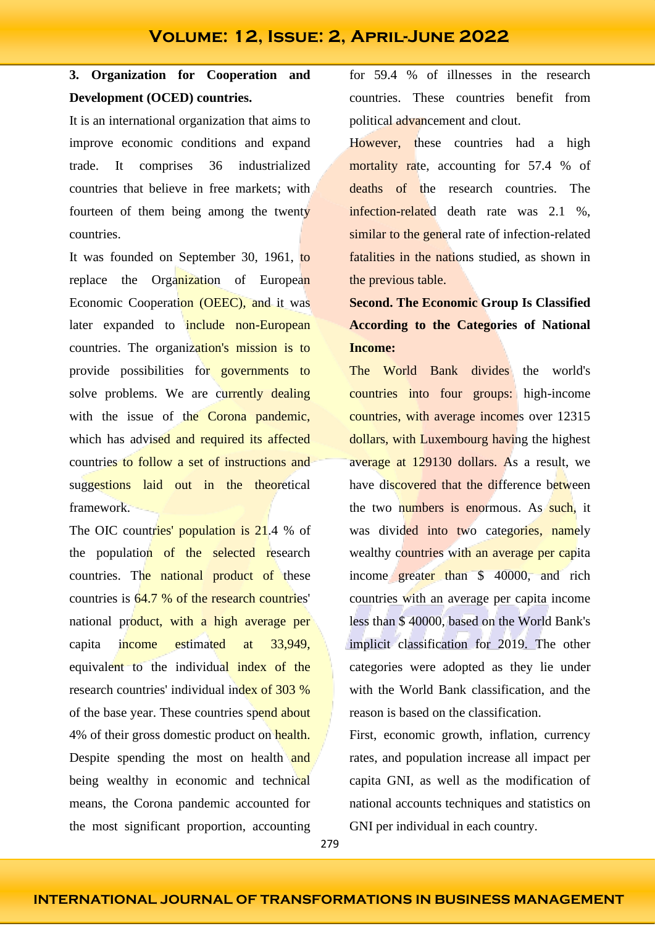### **3. Organization for Cooperation and Development (OCED) countries.**

It is an international organization that aims to improve economic conditions and expand trade. It comprises 36 industrialized countries that believe in free markets; with fourteen of them being among the twenty countries.

It was founded on September 30, 1961, to replace the Organization of European Economic Cooperation (OEEC), and it was later expanded to include non-European countries. The organization's mission is to provide possibilities for governments to solve problems. We are currently dealing with the issue of the Corona pandemic, which has advised and required its affected countries to follow a set of instructions and suggestions laid out in the theoretical framework.

The OIC countries' population is 21.4 % of the population of the selected research countries. The national product of these countries is 64.7 % of the research countries' national product, with a high average per capita income estimated at 33,949, equivalent to the individual index of the research countries' individual index of 303 % of the base year. These countries spend about 4% of their gross domestic product on health. Despite spending the most on health and being wealthy in economic and technical means, the Corona pandemic accounted for the most significant proportion, accounting

for 59.4 % of illnesses in the research countries. These countries benefit from political advancement and clout.

However, these countries had a high mortality rate, accounting for 57.4 % of deaths of the research countries. The infection-related death rate was 2.1 %, similar to the general rate of infection-related fatalities in the nations studied, as shown in the previous table.

## **Second. The Economic Group Is Classified According to the Categories of National Income:**

The World Bank divides the world's countries into four groups: high-income countries, with average incomes over 12315 dollars, with Luxembourg having the highest average at 129130 dollars. As a result, we have discovered that the difference between the two numbers is enormous. As such, it was divided into two categories, namely wealthy countries with an average per capita income greater than \$ 40000, and rich countries with an average per capita income less than \$ 40000, based on the World Bank's implicit classification for 2019. The other categories were adopted as they lie under with the World Bank classification, and the reason is based on the classification.

First, economic growth, inflation, currency rates, and population increase all impact per capita GNI, as well as the modification of national accounts techniques and statistics on GNI per individual in each country.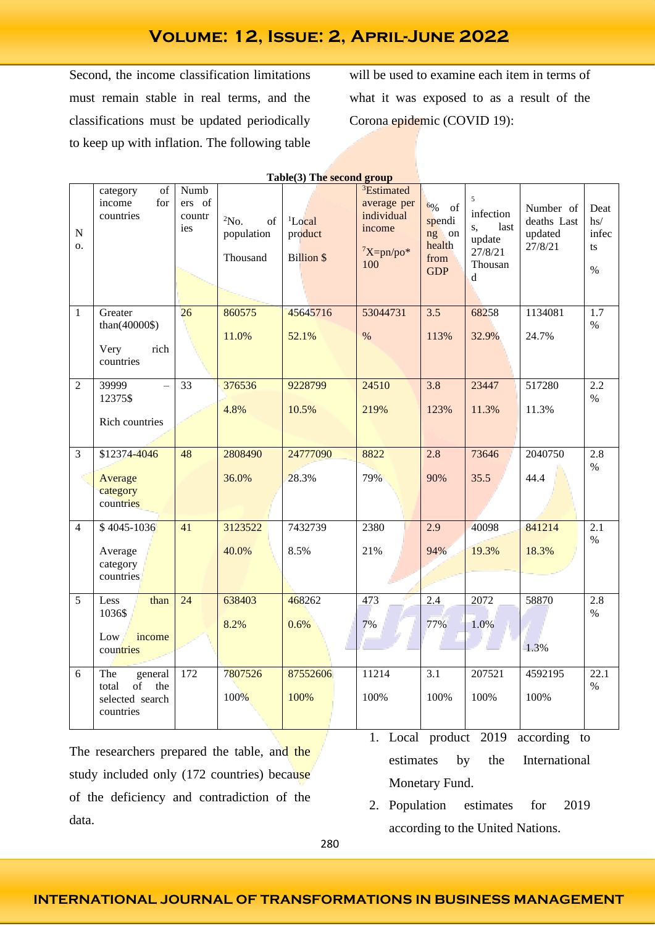Second, the income classification limitations must remain stable in real terms, and the classifications must be updated periodically to keep up with inflation. The following table will be used to examine each item in terms of what it was exposed to as a result of the Corona epidemic (COVID 19):

| ${\bf N}$<br>0. | of<br>category<br>income<br>for<br>countries | Numb<br>ers of<br>countr<br>ies | $2N0$ .<br>of<br>population<br>Thousand | <sup>1</sup> Local<br>product<br><b>Billion \$</b> | <sup>3</sup> Estimated<br>average per<br>individual<br>income<br>$7X=pn/po*$<br>100 | 60%<br>of<br>spendi<br>ng on<br>health<br>from<br><b>GDP</b> | 5<br>infection<br>last<br>s,<br>update<br>27/8/21<br>Thousan<br>d | Number of<br>deaths Last<br>updated<br>27/8/21 | Deat<br>hs/<br>infec<br>ts<br>$\%$ |
|-----------------|----------------------------------------------|---------------------------------|-----------------------------------------|----------------------------------------------------|-------------------------------------------------------------------------------------|--------------------------------------------------------------|-------------------------------------------------------------------|------------------------------------------------|------------------------------------|
| $\mathbf{1}$    | Greater<br>than(40000\$)                     | $\overline{26}$                 | 860575<br>11.0%                         | 45645716<br>52.1%                                  | 53044731<br>$\%$                                                                    | 3.5<br>113%                                                  | 68258<br>32.9%                                                    | 1134081<br>24.7%                               | 1.7<br>$\%$                        |
|                 | rich<br>Very<br>countries                    |                                 |                                         |                                                    |                                                                                     |                                                              |                                                                   |                                                |                                    |
| $\overline{2}$  | 39999<br>$\equiv$<br>12375\$                 | 33                              | 376536                                  | 9228799                                            | 24510                                                                               | 3.8                                                          | 23447                                                             | 517280                                         | 2.2<br>$\%$                        |
|                 |                                              |                                 | 4.8%                                    | 10.5%                                              | 219%                                                                                | 123%                                                         | 11.3%                                                             | 11.3%                                          |                                    |
|                 | Rich countries                               |                                 |                                         |                                                    |                                                                                     |                                                              |                                                                   |                                                |                                    |
| $\overline{3}$  | \$12374-4046                                 | 48                              | 2808490                                 | 24777090                                           | 8822                                                                                | 2.8                                                          | 73646                                                             | 2040750                                        | 2.8                                |
|                 | Average                                      |                                 | 36.0%                                   | 28.3%                                              | 79%                                                                                 | 90%                                                          | 35.5                                                              | 44.4                                           | $\%$                               |
|                 | category                                     |                                 |                                         |                                                    |                                                                                     |                                                              |                                                                   |                                                |                                    |
|                 | countries                                    |                                 |                                         |                                                    |                                                                                     |                                                              |                                                                   |                                                |                                    |
| $\overline{4}$  | \$4045-1036                                  | 41                              | 3123522                                 | 7432739                                            | 2380                                                                                | 2.9                                                          | 40098                                                             | 841214                                         | 2.1<br>$\%$                        |
|                 | Average                                      |                                 | 40.0%                                   | 8.5%                                               | 21%                                                                                 | 94%                                                          | 19.3%                                                             | 18.3%                                          |                                    |
|                 | category<br>countries                        |                                 |                                         |                                                    |                                                                                     |                                                              |                                                                   |                                                |                                    |
| 5               | Less<br>than                                 | 24                              | 638403                                  | 468262                                             | 473                                                                                 | 2.4                                                          | 2072                                                              | 58870                                          | 2.8                                |
|                 | 1036\$                                       |                                 |                                         |                                                    |                                                                                     |                                                              |                                                                   |                                                | $\%$                               |
|                 | income<br>Low                                |                                 | 8.2%                                    | 0.6%                                               | 7%                                                                                  | 77%                                                          | 1.0%                                                              |                                                |                                    |
|                 | countries                                    |                                 |                                         |                                                    |                                                                                     |                                                              |                                                                   | 1.3%                                           |                                    |
| 6               | The<br>general                               | 172                             | 7807526                                 | 87552606                                           | 11214                                                                               | $\overline{3.1}$                                             | 207521                                                            | 4592195                                        | $\overline{22.1}$                  |
|                 | total<br>of<br>the<br>selected search        |                                 | 100%                                    | 100%                                               | 100%                                                                                | 100%                                                         | 100%                                                              | 100%                                           | $\%$                               |
|                 | countries                                    |                                 |                                         |                                                    |                                                                                     |                                                              |                                                                   |                                                |                                    |

**Table(3) The second group**

The researchers prepared the table, and the study included only (172 countries) because of the deficiency and contradiction of the data.

- 1. Local product 2019 according to estimates by the International Monetary Fund.
- 2. Population estimates for 2019 according to the United Nations.

280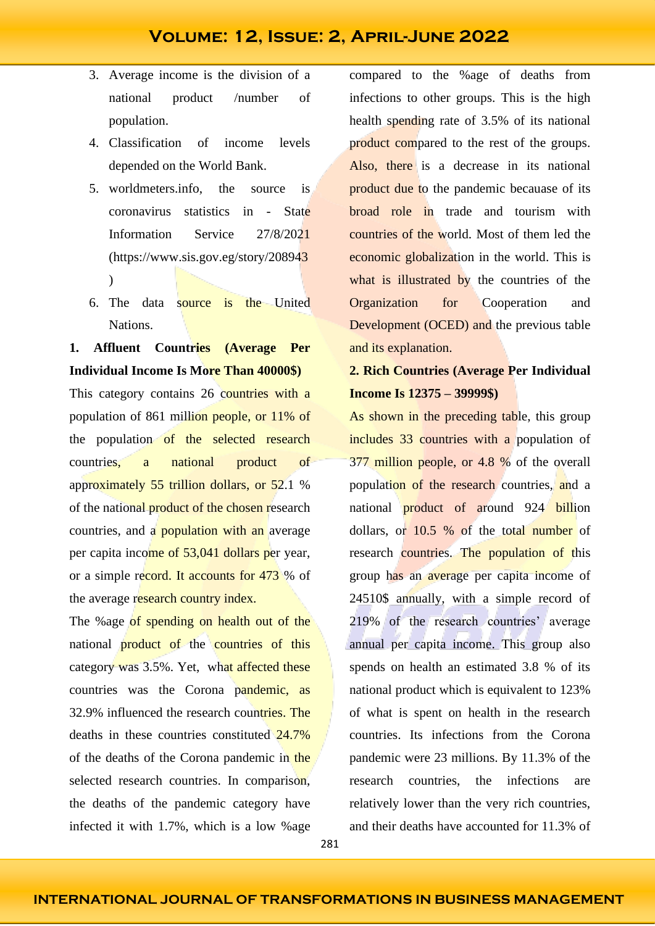- 3. Average income is the division of a national product /number of population.
- 4. Classification of income levels depended on the World Bank.
- 5. worldmeters.info, the source is coronavirus statistics in - State Information Service 27/8/2021 (https://www.sis.gov.eg/story/208943 )
- 6. The data source is the United Nations.

### **1. Affluent Countries (Average Per Individual Income Is More Than 40000\$)**

This category contains 26 countries with a population of 861 million people, or 11% of the population of the selected research countries, a national product of approximately 55 trillion dollars, or 52.1 % of the national product of the chosen research countries, and a **population** with an average per capita income of 53,041 dollars per year, or a simple record. It accounts for 473 % of the average research country index.

The %age of spending on health out of the national product of the countries of this category was 3.5%. Yet, what affected these countries was the Corona pandemic, as 32.9% influenced the research countries. The deaths in these countries constituted 24.7% of the deaths of the Corona pandemic in the selected research countries. In comparison, the deaths of the pandemic category have infected it with 1.7%, which is a low %age

compared to the %age of deaths from infections to other groups. This is the high health spending rate of 3.5% of its national product compared to the rest of the groups. Also, there is a decrease in its national product due to the pandemic becauase of its broad role in trade and tourism with countries of the world. Most of them led the economic globalization in the world. This is what is illustrated by the countries of the Organization for Cooperation and Development (OCED) and the previous table and its explanation.

#### **2. Rich Countries (Average Per Individual Income Is 12375 – 39999\$)**

As shown in the preceding table, this group includes 33 countries with a population of 377 million people, or 4.8 % of the overall population of the research countries, and a national **product of around 924 billion** dollars, or 10.5 % of the total number of research countries. The population of this group has an average per capita income of 24510\$ annually, with a simple record of 219% of the research countries' average annual per capita income. This group also spends on health an estimated 3.8 % of its national product which is equivalent to 123% of what is spent on health in the research countries. Its infections from the Corona pandemic were 23 millions. By 11.3% of the research countries, the infections relatively lower than the very rich countries, and their deaths have accounted for 11.3% of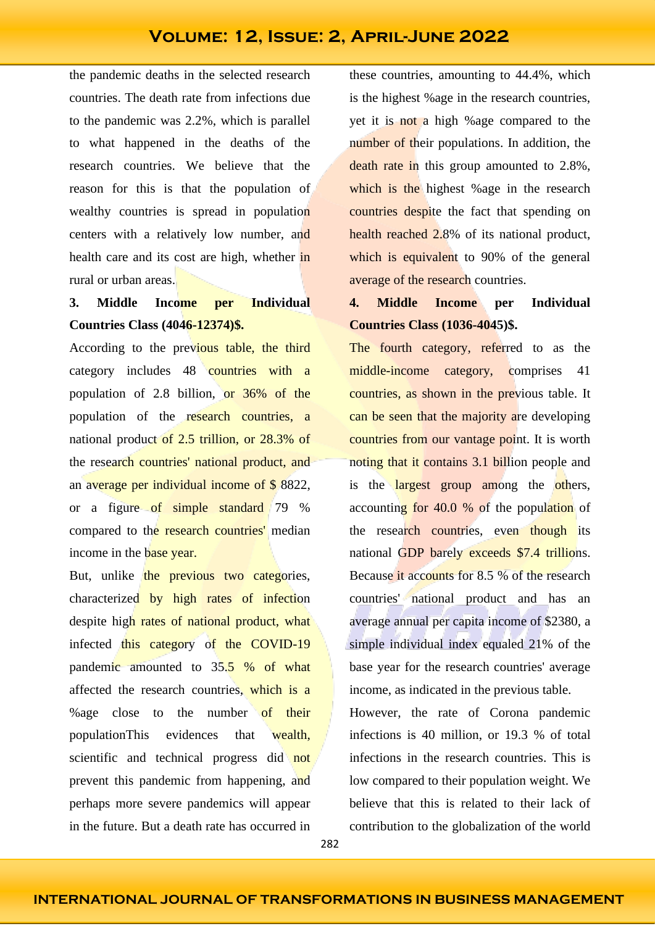the pandemic deaths in the selected research countries. The death rate from infections due to the pandemic was 2.2%, which is parallel to what happened in the deaths of the research countries. We believe that the reason for this is that the population of wealthy countries is spread in population centers with a relatively low number, and health care and its cost are high, whether in rural or urban areas.

### **3. Middle Income per Individual Countries Class (4046-12374)\$.**

According to the previous table, the third category includes 48 countries with a population of 2.8 billion, or 36% of the population of the research countries, a national product of 2.5 trillion, or 28.3% of the research countries' national product, and an average per individual income of \$ 8822, or a figure of simple standard 79 % compared to the research countries' median income in the base year.

But, unlike the previous two categories, characterized by high rates of infection despite high rates of national product, what infected this category of the COVID-19 pandemic amounted to 35.5 % of what affected the research countries, which is a %age close to the number of their populationThis evidences that wealth, scientific and technical progress did not prevent this pandemic from happening, and perhaps more severe pandemics will appear in the future. But a death rate has occurred in

these countries, amounting to 44.4%, which is the highest %age in the research countries, yet it is not a high %age compared to the number of their populations. In addition, the death rate in this group amounted to 2.8%, which is the highest %age in the research countries despite the fact that spending on health reached 2.8% of its national product, which is equivalent to 90% of the general average of the research countries.

### **4. Middle Income per Individual Countries Class (1036-4045)\$.**

The fourth category, referred to as the middle-income category, comprises 41 countries, as shown in the previous table. It can be seen that the majority are developing countries from our vantage point. It is worth noting that it contains 3.1 billion people and is the largest group among the others, accounting for 40.0 % of the population of the research countries, even though its national GDP barely exceeds \$7.4 trillions. Because it accounts for 8.5 % of the research countries' national product and has an average annual per capita income of \$2380, a simple individual index equaled 21% of the base year for the research countries' average income, as indicated in the previous table.

However, the rate of Corona pandemic infections is 40 million, or 19.3 % of total infections in the research countries. This is low compared to their population weight. We believe that this is related to their lack of contribution to the globalization of the world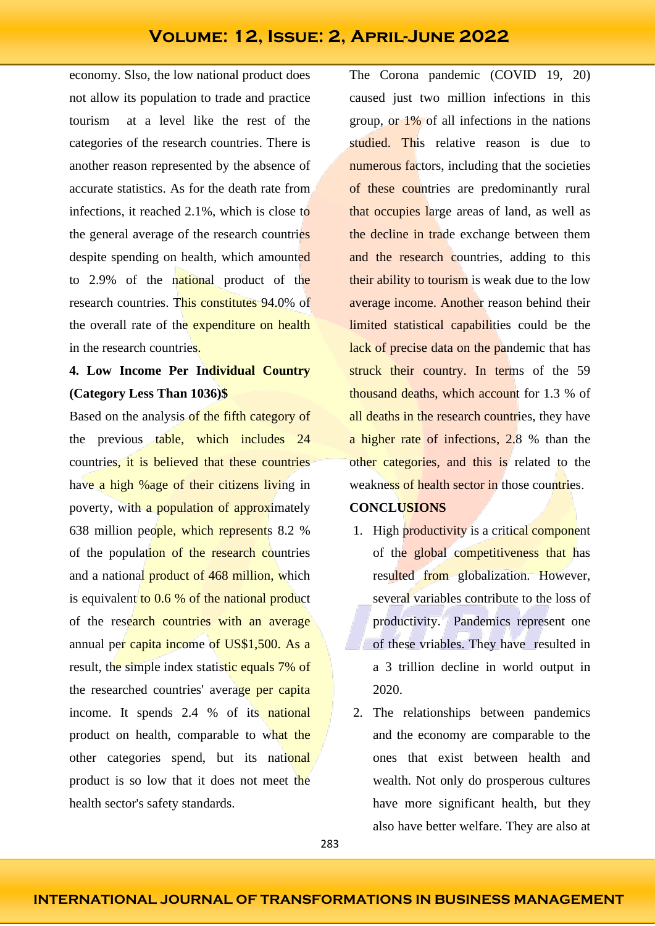economy. Slso, the low national product does not allow its population to trade and practice tourism at a level like the rest of the categories of the research countries. There is another reason represented by the absence of accurate statistics. As for the death rate from infections, it reached 2.1%, which is close to the general average of the research countries despite spending on health, which amounted to 2.9% of the national product of the research countries. This constitutes 94.0% of the overall rate of the expenditure on health in the research countries.

#### **4. Low Income Per Individual Country (Category Less Than 1036)\$**

Based on the analysis of the fifth category of the previous table, which includes 24 countries, it is believed that these countries have a high %age of their citizens living in poverty, with a population of approximately 638 million people, which represents 8.2 % of the population of the research countries and a national **product of 468 million**, which is equivalent to 0.6 % of the national product of the research countries with an average annual per capita income of US\$1,500. As a result, the simple index statistic equals 7% of the researched countries' average per capita income. It spends 2.4 % of its national product on health, comparable to what the other categories spend, but its national product is so low that it does not meet the health sector's safety standards.

The Corona pandemic (COVID 19, 20) caused just two million infections in this group, or 1% of all infections in the nations studied. This relative reason is due to numerous factors, including that the societies of these countries are predominantly rural that occupies large areas of land, as well as the decline in trade exchange between them and the research countries, adding to this their ability to tourism is weak due to the low average income. Another reason behind their limited statistical capabilities could be the lack of precise data on the pandemic that has struck their country. In terms of the 59 thousand deaths, which account for 1.3 % of all deaths in the research countries, they have a higher rate of infections, 2.8 % than the other categories, and this is related to the weakness of health sector in those countries.

#### **CONCLUSIONS**

- 1. High productivity is a critical component of the global competitiveness that has resulted from globalization. However, several variables contribute to the loss of productivity. Pandemics represent one of these vriables. They have resulted in a 3 trillion decline in world output in 2020.
- 2. The relationships between pandemics and the economy are comparable to the ones that exist between health and wealth. Not only do prosperous cultures have more significant health, but they also have better welfare. They are also at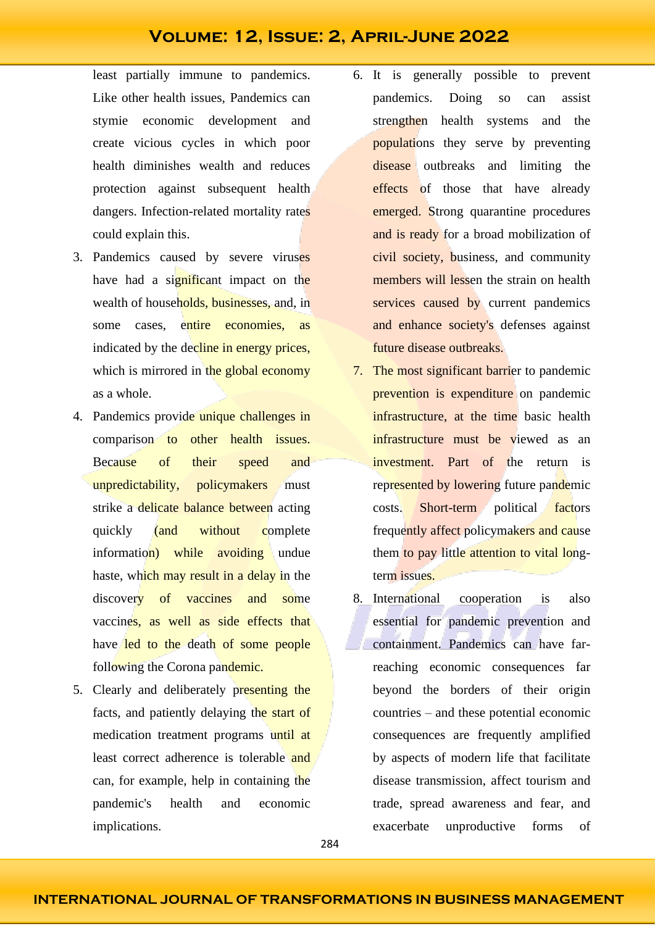least partially immune to pandemics. Like other health issues, Pandemics can stymie economic development and create vicious cycles in which poor health diminishes wealth and reduces protection against subsequent health dangers. Infection-related mortality rates could explain this.

- 3. Pandemics caused by severe viruses have had a significant impact on the wealth of households, businesses, and, in some cases, entire economies, as indicated by the decline in energy prices, which is mirrored in the global economy as a whole.
- 4. Pandemics provide unique challenges in comparison to other health issues. Because of their speed and unpredictability, policymakers must strike a delicate balance between acting quickly (and without complete information) while avoiding undue haste, which may result in a delay in the discovery of vaccines and some vaccines, as well as side effects that have led to the death of some people following the Corona pandemic.
- 5. Clearly and deliberately presenting the facts, and patiently delaying the start of medication treatment programs until at least correct adherence is tolerable and can, for example, help in containing the pandemic's health and economic implications.
- 6. It is generally possible to prevent pandemics. Doing so can assist strengthen health systems and the populations they serve by preventing disease outbreaks and limiting the effects of those that have already emerged. Strong quarantine procedures and is ready for a broad mobilization of civil society, business, and community members will lessen the strain on health services caused by current pandemics and enhance society's defenses against future disease outbreaks.
- 7. The most significant barrier to pandemic prevention is expenditure on pandemic infrastructure, at the time basic health infrastructure must be viewed as an investment. Part of the return is represented by lowering future pandemic costs. Short-term political factors frequently affect policymakers and cause them to pay little attention to vital longterm issues.
- 8. International cooperation is also essential for pandemic prevention and containment. Pandemics can have farreaching economic consequences far beyond the borders of their origin countries – and these potential economic consequences are frequently amplified by aspects of modern life that facilitate disease transmission, affect tourism and trade, spread awareness and fear, and exacerbate unproductive forms of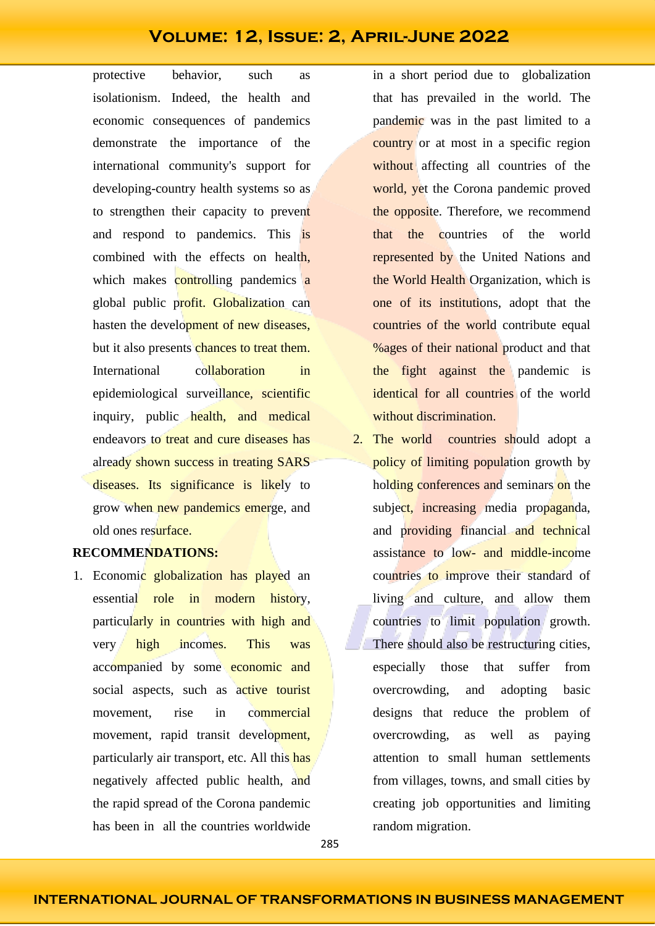protective behavior, such as isolationism. Indeed, the health and economic consequences of pandemics demonstrate the importance of the international community's support for developing-country health systems so as to strengthen their capacity to prevent and respond to pandemics. This is combined with the effects on health, which makes controlling pandemics a global public profit. Globalization can hasten the development of new diseases, but it also presents chances to treat them. International collaboration in epidemiological surveillance, scientific inquiry, public health, and medical endeavors to treat and cure diseases has already shown success in treating SARS diseases. Its significance is likely to grow when new pandemics emerge, and old ones resurface.

#### **RECOMMENDATIONS:**

1. Economic globalization has played an essential role in modern history, particularly in countries with high and very high incomes. This was accompanied by some economic and social aspects, such as active tourist movement, rise in commercial movement, rapid transit development, particularly air transport, etc. All this has negatively affected public health, and the rapid spread of the Corona pandemic has been in all the countries worldwide

in a short period due to globalization that has prevailed in the world. The pandemic was in the past limited to a country or at most in a specific region without affecting all countries of the world, yet the Corona pandemic proved the opposite. Therefore, we recommend that the countries of the world represented by the United Nations and the World Health Organization, which is one of its institutions, adopt that the countries of the world contribute equal %ages of their national product and that the fight against the pandemic is identical for all countries of the world without discrimination.

2. The world countries should adopt a policy of limiting population growth by holding conferences and seminars on the subject, increasing media propaganda, and providing financial and technical assistance to low- and middle-income countries to improve their standard of living and culture, and allow them countries to limit population growth. There should also be restructuring cities, especially those that suffer from overcrowding, and adopting basic designs that reduce the problem of overcrowding, as well as paying attention to small human settlements from villages, towns, and small cities by creating job opportunities and limiting random migration.